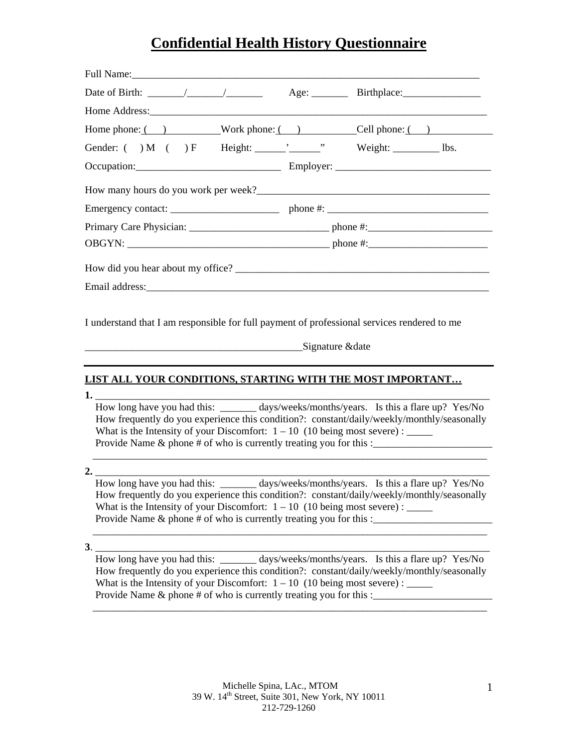| Home phone: ( ) Work phone: ( ) Cell phone: ( )                                                                                                                                                                                                                                                                                                                              |  |  |  |  |  |
|------------------------------------------------------------------------------------------------------------------------------------------------------------------------------------------------------------------------------------------------------------------------------------------------------------------------------------------------------------------------------|--|--|--|--|--|
|                                                                                                                                                                                                                                                                                                                                                                              |  |  |  |  |  |
|                                                                                                                                                                                                                                                                                                                                                                              |  |  |  |  |  |
|                                                                                                                                                                                                                                                                                                                                                                              |  |  |  |  |  |
|                                                                                                                                                                                                                                                                                                                                                                              |  |  |  |  |  |
|                                                                                                                                                                                                                                                                                                                                                                              |  |  |  |  |  |
|                                                                                                                                                                                                                                                                                                                                                                              |  |  |  |  |  |
|                                                                                                                                                                                                                                                                                                                                                                              |  |  |  |  |  |
|                                                                                                                                                                                                                                                                                                                                                                              |  |  |  |  |  |
| I understand that I am responsible for full payment of professional services rendered to me<br>Signature & date                                                                                                                                                                                                                                                              |  |  |  |  |  |
| LIST ALL YOUR CONDITIONS, STARTING WITH THE MOST IMPORTANT                                                                                                                                                                                                                                                                                                                   |  |  |  |  |  |
| 1. 200 $\sim$ 1.<br>How long have you had this: ______ days/weeks/months/years. Is this a flare up? Yes/No<br>How frequently do you experience this condition?: constant/daily/weekly/monthly/seasonally<br>What is the Intensity of your Discomfort: $1 - 10$ (10 being most severe) : _____<br>Provide Name & phone # of who is currently treating you for this :          |  |  |  |  |  |
| 2. $\qquad$<br>How long have you had this: ______ days/weeks/months/years. Is this a flare up? Yes/No<br>How frequently do you experience this condition?: constant/daily/weekly/monthly/seasonally<br>What is the Intensity of your Discomfort: $1 - 10$ (10 being most severe) : _____<br>Provide Name & phone # of who is currently treating you for this :______________ |  |  |  |  |  |
| 3.<br>How long have you had this: _________ days/weeks/months/years. Is this a flare up? Yes/No<br>How frequently do you experience this condition?: constant/daily/weekly/monthly/seasonally<br>What is the Intensity of your Discomfort: $1 - 10$ (10 being most severe) : _____<br>Provide Name & phone # of who is currently treating you for this :_______________      |  |  |  |  |  |

\_\_\_\_\_\_\_\_\_\_\_\_\_\_\_\_\_\_\_\_\_\_\_\_\_\_\_\_\_\_\_\_\_\_\_\_\_\_\_\_\_\_\_\_\_\_\_\_\_\_\_\_\_\_\_\_\_\_\_\_\_\_\_\_\_\_\_\_\_\_\_\_\_\_\_\_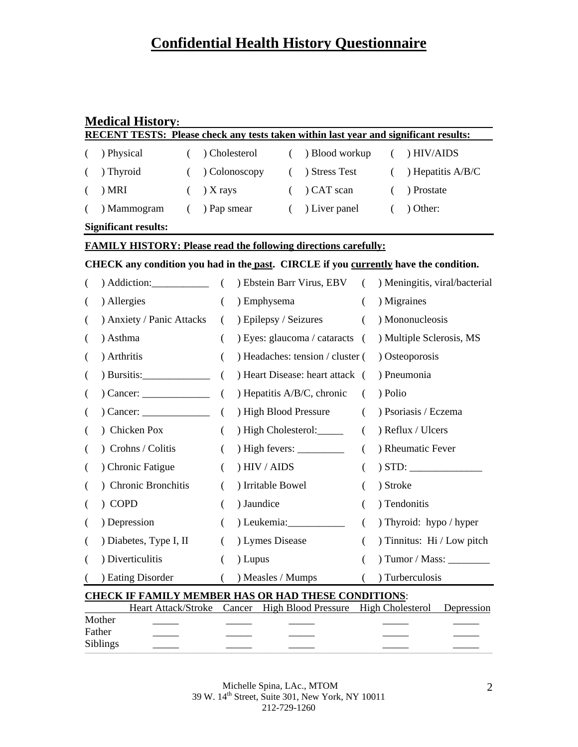### **Medical History:**

| <b>RECENT TESTS:</b> Please check any tests taken within last year and significant results: |                                                                                      |                      |                       |          |                                  |            |          |                               |
|---------------------------------------------------------------------------------------------|--------------------------------------------------------------------------------------|----------------------|-----------------------|----------|----------------------------------|------------|----------|-------------------------------|
|                                                                                             | ) Physical<br>$\left($                                                               | ) Cholesterol        |                       | $\left($ | ) Blood workup                   |            | $\left($ | ) HIV/AIDS                    |
|                                                                                             | ) Thyroid<br>€                                                                       |                      | Colonoscopy           | $\left($ | ) Stress Test                    |            | $\left($ | ) Hepatitis A/B/C             |
| €                                                                                           | ) MRI<br>€                                                                           | ) X rays             |                       | $\left($ | CAT scan                         |            | $\left($ | ) Prostate                    |
|                                                                                             | ) Mammogram<br>$\left($                                                              | ) Pap smear          |                       | $\left($ | ) Liver panel                    |            | $\left($ | ) Other:                      |
|                                                                                             | <b>Significant results:</b>                                                          |                      |                       |          |                                  |            |          |                               |
|                                                                                             | <b>FAMILY HISTORY: Please read the following directions carefully:</b>               |                      |                       |          |                                  |            |          |                               |
|                                                                                             | CHECK any condition you had in the past. CIRCLE if you currently have the condition. |                      |                       |          |                                  |            |          |                               |
| €                                                                                           | $)$ Addiction:                                                                       | $\left($             |                       |          | ) Ebstein Barr Virus, EBV        | $\sqrt{2}$ |          | ) Meningitis, viral/bacterial |
| €                                                                                           | ) Allergies                                                                          | $\left($             | ) Emphysema           |          |                                  | (          |          | ) Migraines                   |
| €                                                                                           | ) Anxiety / Panic Attacks                                                            | $\left($             | ) Epilepsy / Seizures |          |                                  | $\left($   |          | ) Mononucleosis               |
| €                                                                                           | ) Asthma                                                                             | (                    |                       |          | ) Eyes: glaucoma / cataracts (   |            |          | ) Multiple Sclerosis, MS      |
| €                                                                                           | ) Arthritis                                                                          | $\left($             |                       |          | ) Headaches: tension / cluster ( |            |          | ) Osteoporosis                |
| $\overline{ }$                                                                              |                                                                                      | $\overline{(\cdot)}$ |                       |          | ) Heart Disease: heart attack (  |            |          | ) Pneumonia                   |
| $\left($                                                                                    |                                                                                      | $\overline{(\ }$     |                       |          | ) Hepatitis A/B/C, chronic       | €          | ) Polio  |                               |
| $\overline{ }$                                                                              | $O(2n)$ Cancer:                                                                      | $\left($             | ) High Blood Pressure |          |                                  | €          |          | ) Psoriasis / Eczema          |
|                                                                                             | ) Chicken Pox                                                                        | $\left($             |                       |          | ) High Cholesterol:              | (          |          | ) Reflux / Ulcers             |
| $\overline{ }$                                                                              | ) Crohns / Colitis                                                                   | (                    |                       |          | ) High fevers: $\frac{\ }{\ }$   | €          |          | ) Rheumatic Fever             |
| €                                                                                           | ) Chronic Fatigue                                                                    | (                    | ) HIV / AIDS          |          |                                  | €          |          | ) STD:                        |
| €                                                                                           | ) Chronic Bronchitis                                                                 | €                    | ) Irritable Bowel     |          |                                  | €          | ) Stroke |                               |
|                                                                                             | ) COPD                                                                               | €                    | ) Jaundice            |          |                                  |            |          | ) Tendonitis                  |
| €                                                                                           | ) Depression                                                                         | $\left($             |                       |          | ) Leukemia:____________          | $\left($   |          | ) Thyroid: hypo / hyper       |
| €                                                                                           | ) Diabetes, Type I, II                                                               | €                    | ) Lymes Disease       |          |                                  | (          |          | ) Tinnitus: Hi / Low pitch    |
| €                                                                                           | ) Diverticulitis                                                                     | $\left($             | ) Lupus               |          |                                  | €          |          | ) Tumor / Mass: ________      |
|                                                                                             | ) Eating Disorder                                                                    | $\left($             | ) Measles / Mumps     |          |                                  |            |          | ) Turberculosis               |
| <b>CHECK IF FAMILY MEMBER HAS OR HAD THESE CONDITIONS:</b>                                  |                                                                                      |                      |                       |          |                                  |            |          |                               |

|                  |  | Heart Attack/Stroke Cancer High Blood Pressure High Cholesterol Depression |  |
|------------------|--|----------------------------------------------------------------------------|--|
| Mother<br>Father |  |                                                                            |  |
| <b>Siblings</b>  |  |                                                                            |  |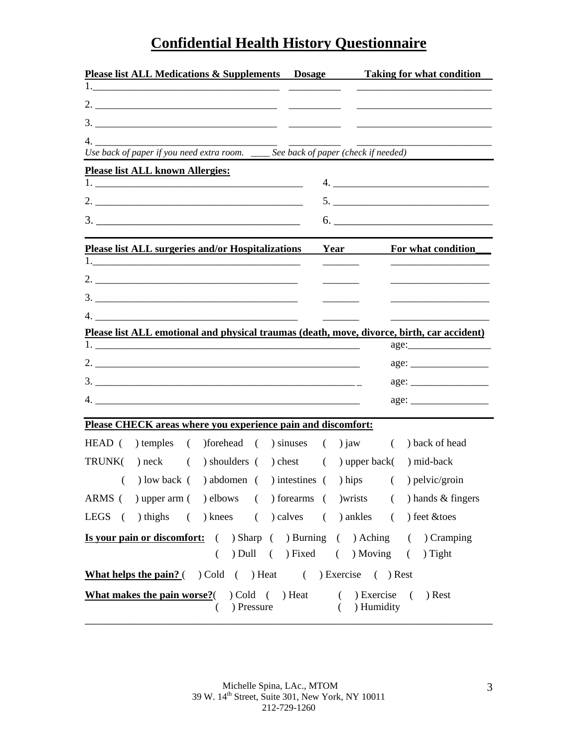| <b>Please list ALL Medications &amp; Supplements Dosage</b>                                                     |      |                                        | <b>Example 1</b> Taking for what condition |
|-----------------------------------------------------------------------------------------------------------------|------|----------------------------------------|--------------------------------------------|
| 1. $\qquad \qquad$                                                                                              |      |                                        |                                            |
|                                                                                                                 |      |                                        |                                            |
|                                                                                                                 |      |                                        |                                            |
| 4.                                                                                                              |      |                                        |                                            |
| Use back of paper if you need extra room. ____ See back of paper (check if needed)                              |      |                                        |                                            |
| <b>Please list ALL known Allergies:</b>                                                                         |      |                                        |                                            |
|                                                                                                                 |      |                                        |                                            |
|                                                                                                                 |      |                                        |                                            |
| $\begin{array}{c}\n3.\n\end{array}$                                                                             |      |                                        |                                            |
| <b>Please list ALL surgeries and/or Hospitalizations</b>                                                        | Year |                                        | For what condition                         |
|                                                                                                                 |      |                                        |                                            |
|                                                                                                                 |      |                                        |                                            |
|                                                                                                                 |      |                                        |                                            |
|                                                                                                                 |      |                                        |                                            |
| Please list ALL emotional and physical traumas (death, move, divorce, birth, car accident)                      |      |                                        |                                            |
|                                                                                                                 |      |                                        |                                            |
|                                                                                                                 |      |                                        |                                            |
|                                                                                                                 |      |                                        |                                            |
|                                                                                                                 |      |                                        |                                            |
| Please CHECK areas where you experience pain and discomfort:                                                    |      |                                        |                                            |
| HEAD ( ) temples ( ) forehead ( ) sinuses ( ) jaw                                                               |      | $\left($                               | ) back of head                             |
|                                                                                                                 |      |                                        |                                            |
| $TRUNK()$ neck $()$<br>) shoulders ( ) chest ( ) upper back(                                                    |      |                                        | ) mid-back                                 |
| ) low back ( ) abdomen ( ) intestines ( ) hips (<br>€                                                           |      |                                        | ) pelvic/groin                             |
| ARMS ( ) upper arm ( ) elbows ( ) forearms ( ) wrists ( ) hands & fingers                                       |      |                                        |                                            |
| LEGS ( ) thighs ( ) knees ( ) calves ( ) ankles ( ) feet & toes                                                 |      |                                        |                                            |
| <b>Is your pain or discomfort:</b> ( ) Sharp ( ) Burning ( ) Aching ( ) Cramping                                |      |                                        |                                            |
| ( ) Dull ( ) Fixed ( ) Moving ( ) Tight                                                                         |      |                                        |                                            |
| <b>What helps the pain?</b> ( $\bigcirc$ ) Cold ( $\bigcirc$ ) Heat ( $\bigcirc$ ) Exercise ( $\bigcirc$ ) Rest |      |                                        |                                            |
| <b>What makes the pain worse?</b> ( $\bigcirc$ ) Cold ( $\bigcirc$ ) Heat<br>$($ ) Pressure                     |      | $( )$ Exercise $( )$<br>$( )$ Humidity | ) Rest                                     |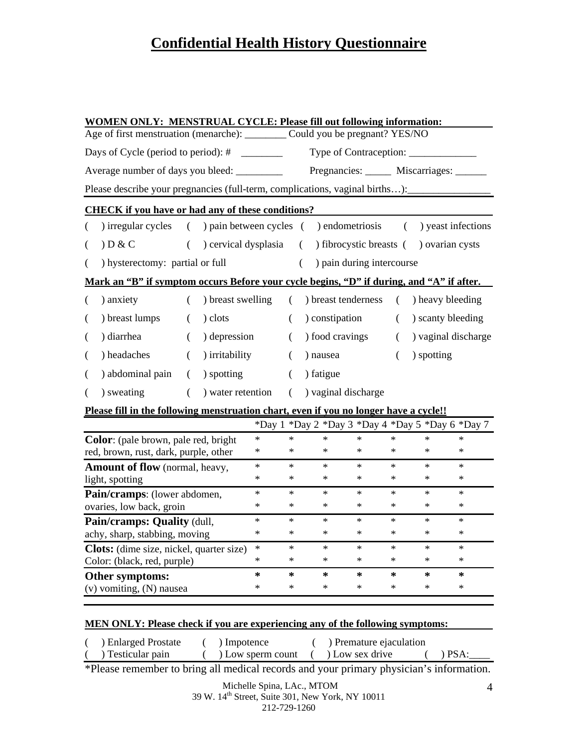| <b>WOMEN ONLY: MENSTRUAL CYCLE: Please fill out following information:</b>    |                                                                                                   |          |                                                             |        |          |          |                     |                           |          |            |                                                  |
|-------------------------------------------------------------------------------|---------------------------------------------------------------------------------------------------|----------|-------------------------------------------------------------|--------|----------|----------|---------------------|---------------------------|----------|------------|--------------------------------------------------|
| Age of first menstruation (menarche): _________ Could you be pregnant? YES/NO |                                                                                                   |          |                                                             |        |          |          |                     |                           |          |            |                                                  |
| Days of Cycle (period to period): $\#$ __________                             |                                                                                                   |          |                                                             |        |          |          |                     |                           |          |            |                                                  |
|                                                                               | Average number of days you bleed: ______________ Pregnancies: ________ Miscarriages: _______      |          |                                                             |        |          |          |                     |                           |          |            |                                                  |
|                                                                               | Please describe your pregnancies (full-term, complications, vaginal births): ____________________ |          |                                                             |        |          |          |                     |                           |          |            |                                                  |
|                                                                               | <b>CHECK</b> if you have or had any of these conditions?                                          |          |                                                             |        |          |          |                     |                           |          |            |                                                  |
|                                                                               | ) irregular cycles                                                                                |          | () pain between cycles () endometriosis () yeast infections |        |          |          |                     |                           |          |            |                                                  |
| €                                                                             | D & C                                                                                             | $\left($ | ) cervical dysplasia                                        |        |          | $\left($ |                     |                           |          |            | ) fibrocystic breasts ( ) ovarian cysts          |
| (                                                                             | ) hysterectomy: partial or full                                                                   |          |                                                             |        |          | $\left($ |                     | ) pain during intercourse |          |            |                                                  |
|                                                                               | Mark an "B" if symptom occurs Before your cycle begins, "D" if during, and "A" if after.          |          |                                                             |        |          |          |                     |                           |          |            |                                                  |
| $\left($                                                                      | ) anxiety                                                                                         | $\left($ | ) breast swelling                                           |        | $\left($ |          | ) breast tenderness |                           | $\left($ |            | ) heavy bleeding                                 |
| €                                                                             | ) breast lumps                                                                                    | $\left($ | ) clots                                                     |        | $\left($ |          | ) constipation      |                           | $\left($ |            | ) scanty bleeding                                |
| €                                                                             | ) diarrhea                                                                                        | $\left($ | ) depression                                                |        | $\left($ |          | ) food cravings     |                           | $\left($ |            | ) vaginal discharge                              |
| (                                                                             | ) headaches                                                                                       | $\left($ | ) irritability                                              |        | $\left($ |          | ) nausea            |                           | $\left($ | ) spotting |                                                  |
| (                                                                             | ) abdominal pain                                                                                  | €        | ) spotting                                                  |        | $\left($ |          | ) fatigue           |                           |          |            |                                                  |
| €                                                                             | ) sweating                                                                                        | $\left($ | ) water retention                                           |        | $\left($ |          | ) vaginal discharge |                           |          |            |                                                  |
|                                                                               | Please fill in the following menstruation chart, even if you no longer have a cycle!!             |          |                                                             |        |          |          |                     |                           |          |            |                                                  |
|                                                                               |                                                                                                   |          |                                                             |        |          |          |                     |                           |          |            | *Day 1 *Day 2 *Day 3 *Day 4 *Day 5 *Day 6 *Day 7 |
|                                                                               | <b>Color:</b> (pale brown, pale red, bright                                                       |          |                                                             | $\ast$ | $\ast$   |          | $\ast$              | $\ast$                    | $\ast$   | $\ast$     | $\ast$                                           |
|                                                                               | red, brown, rust, dark, purple, other                                                             |          |                                                             | $\ast$ | $\ast$   |          | $\ast$              | $\ast$                    | $\ast$   | $\ast$     | $\ast$                                           |
|                                                                               | Amount of flow (normal, heavy,                                                                    |          |                                                             | $\ast$ | $\ast$   |          | $\ast$              | $\ast$                    | $\ast$   | $\ast$     | $\ast$                                           |
|                                                                               | light, spotting                                                                                   |          |                                                             | $\ast$ | $\ast$   |          | $\ast$              | $\ast$                    | $\ast$   | $\ast$     | $\ast$                                           |
| Pain/cramps: (lower abdomen,                                                  |                                                                                                   |          |                                                             | $\ast$ | $\ast$   |          | $\ast$              | $\ast$                    | $\ast$   | $\ast$     | $\ast$                                           |
| ovaries, low back, groin                                                      |                                                                                                   |          |                                                             | $\ast$ | *        |          | $\ast$              | $\ast$                    | $\ast$   | $\ast$     | $\ast$                                           |
| Pain/cramps: Quality (dull,                                                   |                                                                                                   |          |                                                             | $\ast$ | $\ast$   |          | $\ast$              | $\ast$                    | $\ast$   | $\ast$     | $\ast$                                           |
| $\ast$<br>achy, sharp, stabbing, moving                                       |                                                                                                   |          |                                                             |        | $\ast$   |          | $\ast$              | $\ast$                    | $\ast$   | $\ast$     | $\ast$                                           |
| $\ast$<br><b>Clots:</b> (dime size, nickel, quarter size)                     |                                                                                                   |          |                                                             |        | $\ast$   |          | $\ast$              | *                         | $\ast$   | $\ast$     | $\ast$                                           |
|                                                                               | Color: (black, red, purple)                                                                       |          |                                                             | *      | $\ast$   |          | $\ast$              | ∗                         | $\ast$   | $\ast$     | $\ast$                                           |
|                                                                               | Other symptoms:                                                                                   |          |                                                             | *      | $\ast$   |          | $\ast$              | ∗                         | $\ast$   | $\ast$     | $\ast$                                           |
|                                                                               | $\ast$<br>(v) vomiting, (N) nausea                                                                |          |                                                             |        |          |          | $\ast$              | $\ast$                    | $\ast$   | $\ast$     | $\ast$                                           |
|                                                                               |                                                                                                   |          |                                                             |        |          |          |                     |                           |          |            |                                                  |

### **MEN ONLY: Please check if you are experiencing any of the following symptoms:**

| ) Enlarged Prostate | ) Impotence       | ) Premature ejaculation |               |  |
|---------------------|-------------------|-------------------------|---------------|--|
| ) Testicular pain   | ) Low sperm count | Low sex drive           | $\Delta$ PSA: |  |

\*Please remember to bring all medical records and your primary physician's information.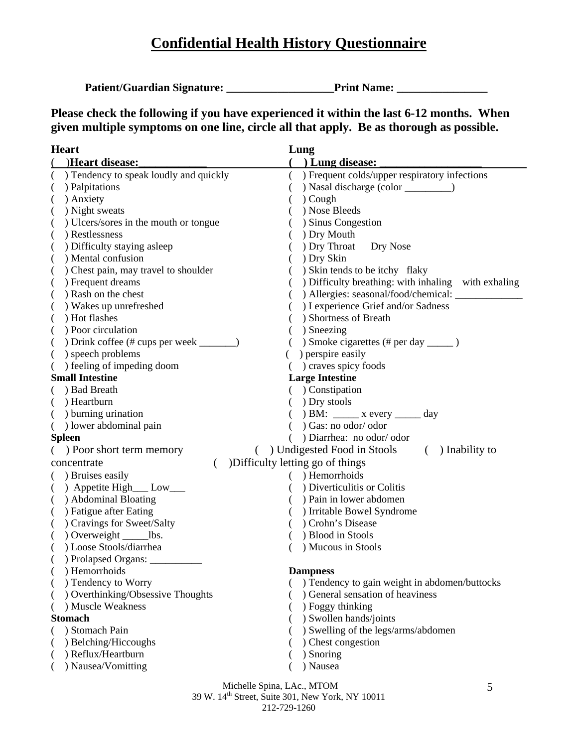Patient/Guardian Signature: Print Name:

**Please check the following if you have experienced it within the last 6-12 months. When given multiple symptoms on one line, circle all that apply. Be as thorough as possible.** 

| <b>Heart</b>                                           | Lung                                                                  |
|--------------------------------------------------------|-----------------------------------------------------------------------|
| )Heart disease:                                        | ( ) Lung disease:                                                     |
| ) Tendency to speak loudly and quickly<br>€            | ) Frequent colds/upper respiratory infections<br>$\left($             |
| ) Palpitations<br>€                                    |                                                                       |
| ) Anxiety<br>(                                         | ) Cough                                                               |
| ) Night sweats<br>(                                    | ) Nose Bleeds                                                         |
| ) Ulcers/sores in the mouth or tongue                  | ) Sinus Congestion                                                    |
| ) Restlessness<br>€                                    | ) Dry Mouth                                                           |
| ) Difficulty staying asleep                            | ) Dry Throat<br>Dry Nose                                              |
| ) Mental confusion<br>€                                | ) Dry Skin                                                            |
| ) Chest pain, may travel to shoulder<br>$\overline{(}$ | ) Skin tends to be itchy flaky                                        |
| ) Frequent dreams<br>$\overline{ }$                    | ) Difficulty breathing: with inhaling with exhaling                   |
| ) Rash on the chest<br>$\overline{ }$                  | ) Allergies: seasonal/food/chemical: ________                         |
| ) Wakes up unrefreshed                                 | ) I experience Grief and/or Sadness                                   |
| ) Hot flashes<br>(                                     | ) Shortness of Breath                                                 |
| ) Poor circulation                                     | ) Sneezing                                                            |
| ) Drink coffee (# cups per week ________)              | ) Smoke cigarettes (# per day _______ )                               |
| ) speech problems<br>(                                 | ) perspire easily                                                     |
| ) feeling of impeding doom                             | ) craves spicy foods                                                  |
| <b>Small Intestine</b>                                 | <b>Large Intestine</b>                                                |
| ) Bad Breath                                           | ( ) Constipation                                                      |
| ) Heartburn                                            | ) Dry stools                                                          |
| ) burning urination<br>$\left($                        | $)$ BM: _______ x every _______ day                                   |
| ( ) lower abdominal pain                               | ) Gas: no odor/odor                                                   |
| <b>Spleen</b>                                          | ) Diarrhea: no odor/odor                                              |
| ( ) Poor short term memory                             | ) Undigested Food in Stools<br>) Inability to<br>$\left($<br>$\left($ |
| concentrate<br>$\left($                                | )Difficulty letting go of things                                      |
| ) Bruises easily<br>€                                  | ) Hemorrhoids                                                         |
| ) Appetite High___ Low___<br>€                         | ) Diverticulitis or Colitis                                           |
| ) Abdominal Bloating<br>(                              | ) Pain in lower abdomen                                               |
| ) Fatigue after Eating<br>$\overline{(}$               | ) Irritable Bowel Syndrome                                            |
| ) Cravings for Sweet/Salty<br>€                        | Crohn's Disease                                                       |
| ) Overweight _______lbs.<br>€                          | ) Blood in Stools                                                     |
| ) Loose Stools/diarrhea<br>€                           | ) Mucous in Stools                                                    |
| ) Prolapsed Organs:                                    |                                                                       |
| ) Hemorrhoids                                          | <b>Dampness</b>                                                       |
| ) Tendency to Worry                                    | ) Tendency to gain weight in abdomen/buttocks                         |
| ) Overthinking/Obsessive Thoughts                      | ) General sensation of heaviness                                      |
| ) Muscle Weakness                                      | ) Foggy thinking                                                      |
| <b>Stomach</b>                                         | ) Swollen hands/joints                                                |
| ) Stomach Pain                                         | ) Swelling of the legs/arms/abdomen                                   |
| ) Belching/Hiccoughs                                   | ) Chest congestion                                                    |
| ) Reflux/Heartburn                                     | ) Snoring                                                             |
| ) Nausea/Vomitting                                     | ) Nausea                                                              |
|                                                        | Michelle Spina, LAc., MTOM<br>5                                       |

39 W. 14<sup>th</sup> Street, Suite 301, New York, NY 10011 212-729-1260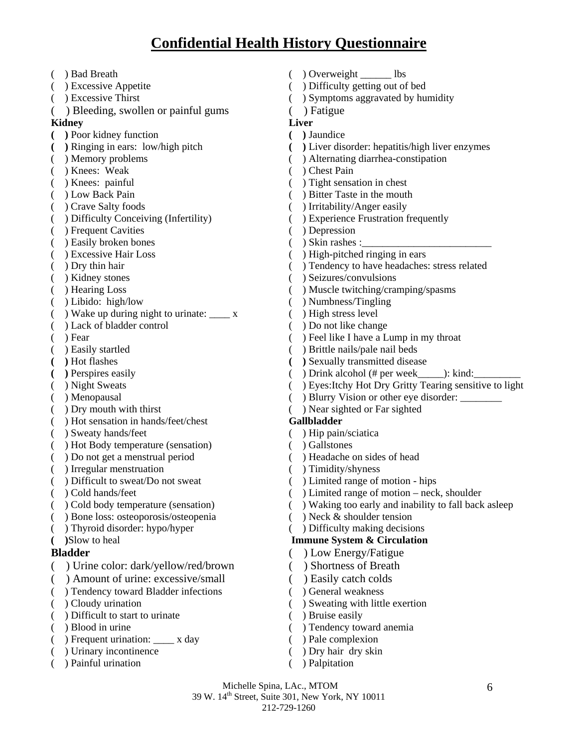- ( ) Bad Breath ( ) Overweight \_\_\_\_\_\_ lbs ( ) Excessive Appetite ( ) Difficulty getting out of bed ( ) Excessive Thirst ( ) Symptoms aggravated by humidity ( ) Bleeding, swollen or painful gums ( ) Fatigue **Kidney Liver ( )** Poor kidney function **( )** Jaundice **( )** Ringing in ears: low/high pitch **( )** Liver disorder: hepatitis/high liver enzymes ( ) Memory problems ( ) Alternating diarrhea-constipation ( ) Knees: Weak ( ) Chest Pain ( ) Knees: painful ( ) Tight sensation in chest ( ) Low Back Pain ( ) Bitter Taste in the mouth ( ) Crave Salty foods ( ) Irritability/Anger easily<br>( ) Difficulty Conceiving (Infertility) ( ) Experience Frustration f ( ) Frequent Cavities ( ) Depression () Easily broken bones () Skin rashes : ( ) Excessive Hair Loss ( ) High-pitched ringing in ears ( ) Dry thin hair ( ) Tendency to have headaches: stress related ( ) Kidney stones ( ) Seizures/convulsions ( ) Hearing Loss ( ) Muscle twitching/cramping/spasms ( ) Libido: high/low ( ) Numbness/Tingling ( $)$  Wake up during night to urinate:  $\_\ x$  ( $)$  High stress level ( ) Lack of bladder control ( ) Do not like change (a) Fear (b) Feel like I have a Lump in my throat ( ) Easily startled ( ) Brittle nails/pale nail beds (a) Hot flashes **(b) Sexually transmitted disease ( )** Perspires easily( ) Drink alcohol (# per week\_\_\_\_\_): kind:\_\_\_\_\_\_\_\_\_ ( ) Menopausal ( ) Blurry Vision or other eye disorder: \_\_\_\_\_\_\_\_ ( ) Dry mouth with thirst ( ) Near sighted or Far sighted ( ) Hot sensation in hands/feet/chest **Gallbladder**  ( ) Sweaty hands/feet ( ) Hip pain/sciatica ( ) Hot Body temperature (sensation) ( ) Gallstones ( ) Do not get a menstrual period ( ) Headache on sides of head ( ) Irregular menstruation ( ) Timidity/shyness ( ) Difficult to sweat/Do not sweat ( ) Limited range of motion - hips ( ) Cold hands/feet ( ) Limited range of motion – neck, shoulder ( ) Bone loss: osteoporosis/osteopenia ( ) Neck & shoulder tension ( ) Thyroid disorder: hypo/hyper ( ) Difficulty making decisions **( )**Slow to heal **Immune System & Circulation Bladder** ( ) Low Energy/Fatigue ( ) Urine color: dark/yellow/red/brown ( ) Shortness of Breath ( ) Amount of urine: excessive/small ( ) Easily catch colds ( ) Tendency toward Bladder infections ( ) General weakness ( ) Cloudy urination ( ) Sweating with little exertion ( ) Difficult to start to urinate ( ) Bruise easily
- 
- ( ) Frequent urination: \_\_\_\_ x day ( ) Pale complexion
- ( ) Urinary incontinence ( ) Dry hair dry skin
- ( ) Painful urination ( ) Palpitation
- 
- 
- 
- 
- 
- 
- 
- 
- 
- 
- 
- 
- $($ ) Experience Frustration frequently
- 
- 
- 
- 
- 
- 
- 
- 
- 
- 
- 
- 
- 
- ( ) Night Sweats ( ) Eyes:Itchy Hot Dry Gritty Tearing sensitive to light
	-
	-

- 
- 
- 
- 
- 
- 
- ( ) Cold body temperature (sensation) ( ) Waking too early and inability to fall back asleep
	-
	-

- 
- 
- 
- 
- 
- 
- ( ) Blood in urine ( ) Tendency toward anemia
	-
	-
	-